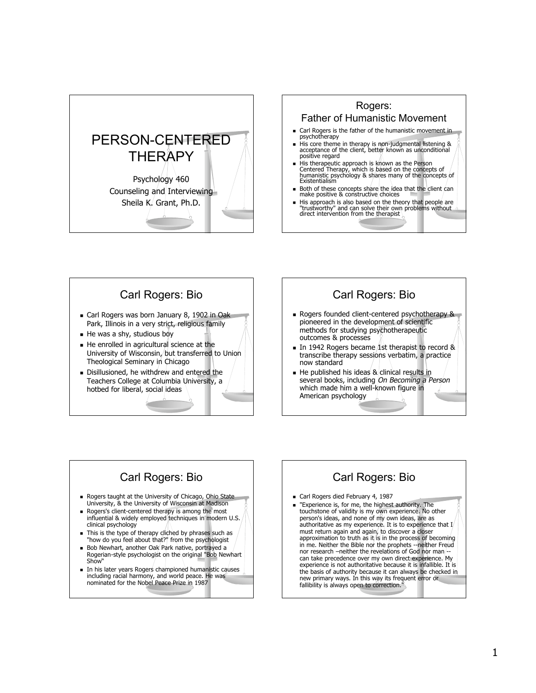



#### Carl Rogers: Bio Carl Rogers was born January 8, 1902 in Oak Park, Illinois in a very strict, religious family He was a shy, studious boy  $\blacksquare$  He enrolled in agricultural science at the University of Wisconsin, but transferred to Union Theological Seminary in Chicago Disillusioned, he withdrew and entered the Teachers College at Columbia University, a

hotbed for liberal, social ideas

## Carl Rogers: Bio Rogers founded client-centered psychotherapy &

- pioneered in the development of scientific methods for studying psychotherapeutic outcomes & processes
- In 1942 Rogers became 1st therapist to record  $\&$ transcribe therapy sessions verbatim, a practice now standard
- $\blacksquare$  He published his ideas & clinical results in several books, including On Becoming a Person which made him a well-known figure in American psychology

## Carl Rogers: Bio

- Rogers taught at the University of Chicago, Ohio State University, & the University of Wisconsin at Madison
- Rogers's client-centered therapy is among the most influential & widely employed techniques in modern U.S. clinical psychology
- This is the type of therapy cliched by phrases such as "how do you feel about that?" from the psychologist
- Bob Newhart, another Oak Park native, portrayed a Rogerian-style psychologist on the original "Bob Newhart Show"
- In his later years Rogers championed humanistic causes including racial harmony, and world peace. He was nominated for the Nobel Peace Prize in 1987

## Carl Rogers: Bio

- Carl Rogers died February 4, 1987
- **Experience is, for me, the highest authority. The** touchstone of validity is my own experience. No other person's ideas, and none of my own ideas, are as authoritative as my experience. It is to experience that I must return again and again, to discover a closer approximation to truth as it is in the process of becoming in me. Neither the Bible nor the prophets --neither Freud nor research –neither the revelations of God nor man can take precedence over my own direct experience. My experience is not authoritative because it is infallible. It is the basis of authority because it can always be checked in new primary ways. In this way its frequent error or fallibility is always open to correction."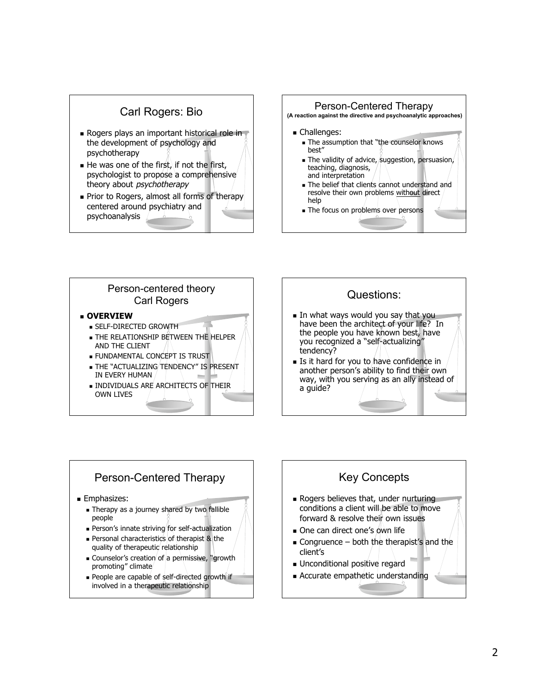



- SELF-DIRECTED GROWTH
- **THE RELATIONSHIP BETWEEN THE HELPER** AND THE CLIENT
- FUNDAMENTAL CONCEPT IS TRUST
- **THE "ACTUALIZING TENDENCY" IS PRESENT** IN EVERY HUMAN
- **INDIVIDUALS ARE ARCHITECTS OF THEIR** OWN LIVES



- have been the architect of your life? In the people you have known best, have you recognized a "self-actualizing" tendency?
- **Is it hard for you to have confidence in** another person's ability to find their own way, with you serving as an ally instead of a guide?

#### Person-Centered Therapy

- **Emphasizes:** 
	- **Therapy as a journey shared by two fallible** people
	- **Person's innate striving for self-actualization**
	- **Personal characteristics of therapist & the** quality of therapeutic relationship
	- **Counselor's creation of a permissive, "growth"** promoting" climate
	- People are capable of self-directed growth if involved in a therapeutic relationship

## Key Concepts

- Rogers believes that, under nurturing conditions a client will be able to move forward & resolve their own issues
- One can direct one's own life
- $\blacksquare$  Congruence both the therapist's and the client's
- Unconditional positive regard
- Accurate empathetic understanding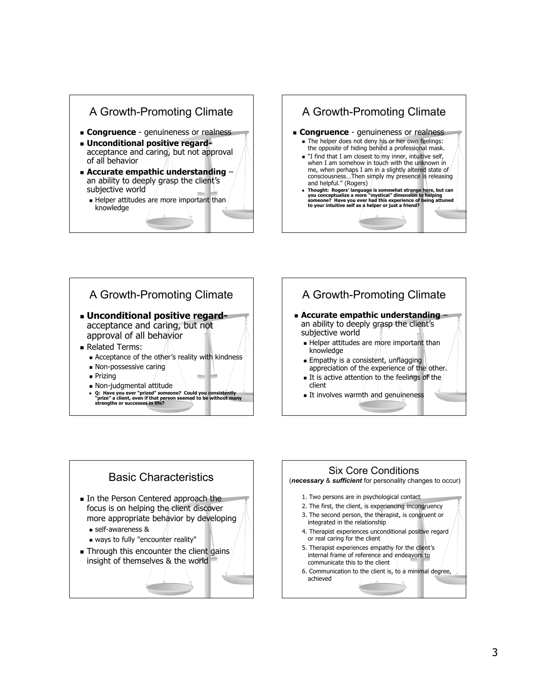







- **Accurate empathic understanding** an ability to deeply grasp the client's subjective world
	- Helper attitudes are more important than knowledge
	- **Empathy is a consistent, unflagging** appreciation of the experience of the other.
	- It is active attention to the feelings of the client
	- It involves warmth and genuineness



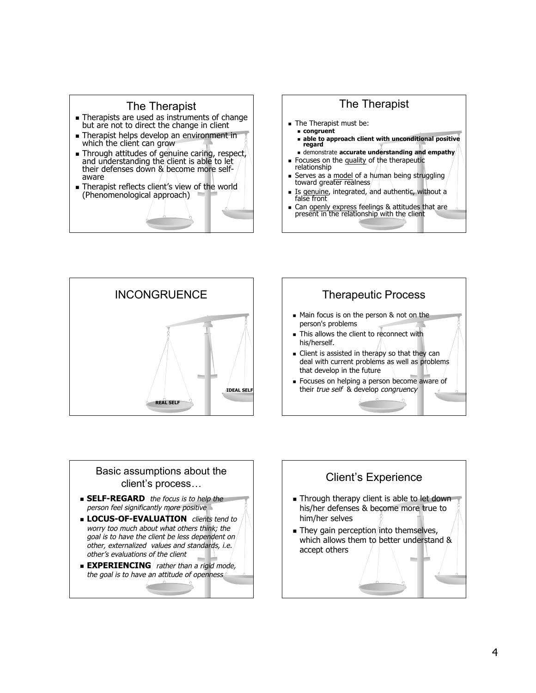







#### Basic assumptions about the client's process…

- **SELF-REGARD** the focus is to help the person feel significantly more positive
- **LOCUS-OF-EVALUATION** clients tend to worry too much about what others think; the goal is to have the client be less dependent on other, externalized values and standards, i.e. other's evaluations of the client
- **EXPERIENCING** rather than a rigid mode, the goal is to have an attitude of openness

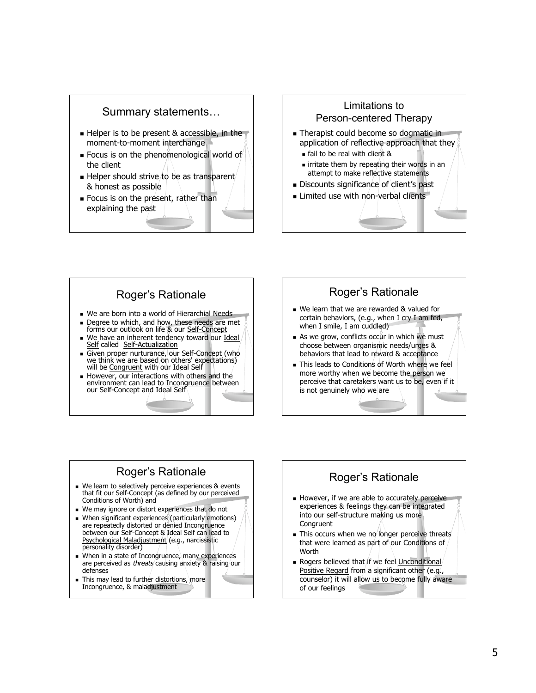

## Limitations to Person-centered Therapy

- Therapist could become so dogmatic in application of reflective approach that they
	- fail to be real with client &
	- **Example 1** irritate them by repeating their words in an attempt to make reflective statements
- Discounts significance of client's past
- **Limited use with non-verbal clients**

## Roger's Rationale

- We are born into a world of Hierarchial Needs Degree to which, and how, these needs are met
- forms our outlook on life & our Self-Concept We have an inherent tendency toward our Ideal Self called Self-Actualization
- Given proper nurturance, our Self-Concept (who we think we are based on others' expectations) will be Congruent with our Ideal Self
- However, our interactions with others and the environment can lead to Incongruence between our Self-Concept and Ideal Self

## Roger's Rationale

- We learn that we are rewarded & valued for certain behaviors, (e.g., when I cry I am fed, when I smile, I am cuddled)
- $\blacksquare$  As we grow, conflicts occur in which we must choose between organismic needs/urges & behaviors that lead to reward & acceptance
- This leads to Conditions of Worth where we feel more worthy when we become the person we perceive that caretakers want us to be, even if it is not genuinely who we are

## Roger's Rationale

- We learn to selectively perceive experiences & events that fit our Self-Concept (as defined by our perceived Conditions of Worth) and
- We may ignore or distort experiences that do not
- When significant experiences (particularly emotions) are repeatedly distorted or denied Incongruence between our Self-Concept & Ideal Self can lead to Psychological Maladjustment (e.g., narcissistic personality disorder)
- When in a state of Incongruence, many experiences are perceived as threats causing anxiety & raising our defenses
- This may lead to further distortions, more Incongruence, & maladjustment

## Roger's Rationale

- However, if we are able to accurately perceive experiences & feelings they can be integrated into our self-structure making us more **Congruent**
- $\blacksquare$  This occurs when we no longer perceive threats that were learned as part of our Conditions of Worth
- **Rogers believed that if we feel Unconditional** Positive Regard from a significant other (e.g., counselor) it will allow us to become fully aware of our feelings